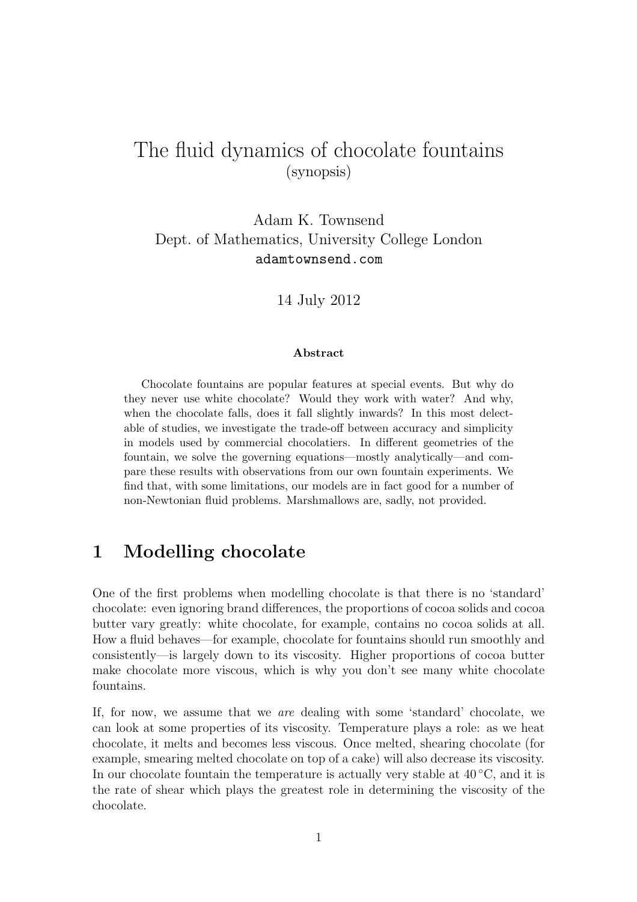# The fluid dynamics of chocolate fountains (synopsis)

Adam K. Townsend Dept. of Mathematics, University College London adamtownsend.com

14 July 2012

#### Abstract

Chocolate fountains are popular features at special events. But why do they never use white chocolate? Would they work with water? And why, when the chocolate falls, does it fall slightly inwards? In this most delectable of studies, we investigate the trade-off between accuracy and simplicity in models used by commercial chocolatiers. In different geometries of the fountain, we solve the governing equations—mostly analytically—and compare these results with observations from our own fountain experiments. We find that, with some limitations, our models are in fact good for a number of non-Newtonian fluid problems. Marshmallows are, sadly, not provided.

# 1 Modelling chocolate

One of the first problems when modelling chocolate is that there is no 'standard' chocolate: even ignoring brand differences, the proportions of cocoa solids and cocoa butter vary greatly: white chocolate, for example, contains no cocoa solids at all. How a fluid behaves—for example, chocolate for fountains should run smoothly and consistently—is largely down to its viscosity. Higher proportions of cocoa butter make chocolate more viscous, which is why you don't see many white chocolate fountains.

If, for now, we assume that we are dealing with some 'standard' chocolate, we can look at some properties of its viscosity. Temperature plays a role: as we heat chocolate, it melts and becomes less viscous. Once melted, shearing chocolate (for example, smearing melted chocolate on top of a cake) will also decrease its viscosity. In our chocolate fountain the temperature is actually very stable at  $40^{\circ}$ C, and it is the rate of shear which plays the greatest role in determining the viscosity of the chocolate.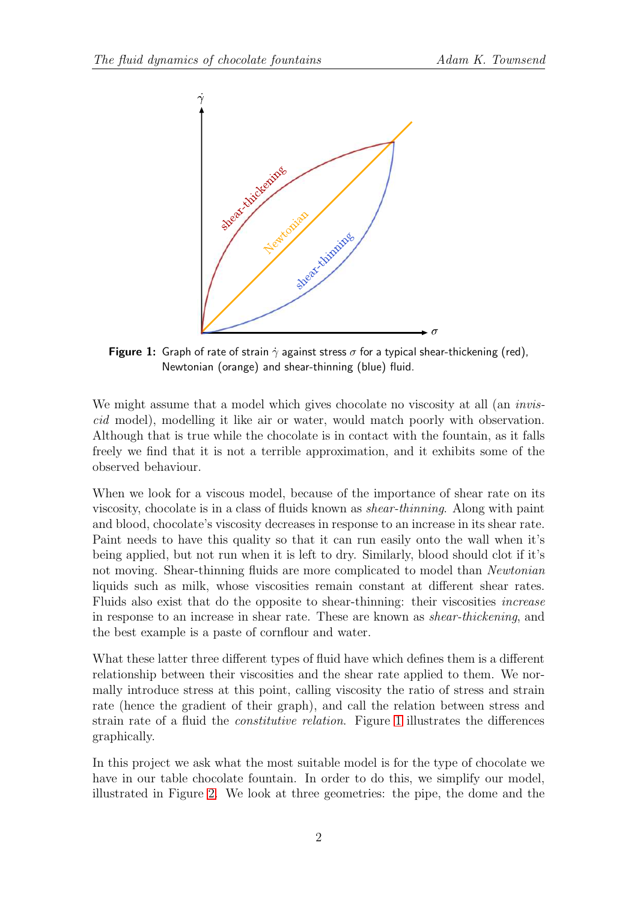<span id="page-1-0"></span>

**Figure 1:** Graph of rate of strain  $\dot{\gamma}$  against stress  $\sigma$  for a typical shear-thickening (red), Newtonian (orange) and shear-thinning (blue) fluid.

We might assume that a model which gives chocolate no viscosity at all (an *invis*cid model), modelling it like air or water, would match poorly with observation. Although that is true while the chocolate is in contact with the fountain, as it falls freely we find that it is not a terrible approximation, and it exhibits some of the observed behaviour.

When we look for a viscous model, because of the importance of shear rate on its viscosity, chocolate is in a class of fluids known as shear-thinning. Along with paint and blood, chocolate's viscosity decreases in response to an increase in its shear rate. Paint needs to have this quality so that it can run easily onto the wall when it's being applied, but not run when it is left to dry. Similarly, blood should clot if it's not moving. Shear-thinning fluids are more complicated to model than Newtonian liquids such as milk, whose viscosities remain constant at different shear rates. Fluids also exist that do the opposite to shear-thinning: their viscosities increase in response to an increase in shear rate. These are known as shear-thickening, and the best example is a paste of cornflour and water.

What these latter three different types of fluid have which defines them is a different relationship between their viscosities and the shear rate applied to them. We normally introduce stress at this point, calling viscosity the ratio of stress and strain rate (hence the gradient of their graph), and call the relation between stress and strain rate of a fluid the constitutive relation. Figure [1](#page-1-0) illustrates the differences graphically.

In this project we ask what the most suitable model is for the type of chocolate we have in our table chocolate fountain. In order to do this, we simplify our model, illustrated in Figure [2.](#page-2-0) We look at three geometries: the pipe, the dome and the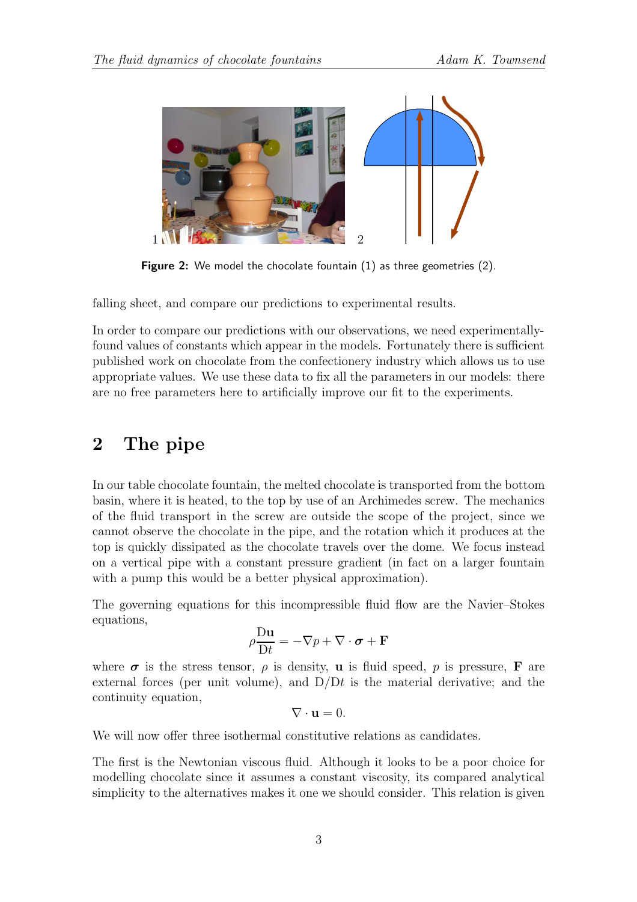<span id="page-2-0"></span>

Figure 2: We model the chocolate fountain (1) as three geometries (2).

falling sheet, and compare our predictions to experimental results.

In order to compare our predictions with our observations, we need experimentallyfound values of constants which appear in the models. Fortunately there is sufficient published work on chocolate from the confectionery industry which allows us to use appropriate values. We use these data to fix all the parameters in our models: there are no free parameters here to artificially improve our fit to the experiments.

## 2 The pipe

In our table chocolate fountain, the melted chocolate is transported from the bottom basin, where it is heated, to the top by use of an Archimedes screw. The mechanics of the fluid transport in the screw are outside the scope of the project, since we cannot observe the chocolate in the pipe, and the rotation which it produces at the top is quickly dissipated as the chocolate travels over the dome. We focus instead on a vertical pipe with a constant pressure gradient (in fact on a larger fountain with a pump this would be a better physical approximation).

The governing equations for this incompressible fluid flow are the Navier–Stokes equations,

$$
\rho \frac{\mathrm{D} \mathbf{u}}{\mathrm{D} t} = -\nabla p + \nabla \cdot \boldsymbol{\sigma} + \mathbf{F}
$$

where  $\sigma$  is the stress tensor,  $\rho$  is density, **u** is fluid speed, p is pressure, **F** are external forces (per unit volume), and  $D/Dt$  is the material derivative; and the continuity equation,

$$
\nabla \cdot \mathbf{u} = 0.
$$

We will now offer three isothermal constitutive relations as candidates.

The first is the Newtonian viscous fluid. Although it looks to be a poor choice for modelling chocolate since it assumes a constant viscosity, its compared analytical simplicity to the alternatives makes it one we should consider. This relation is given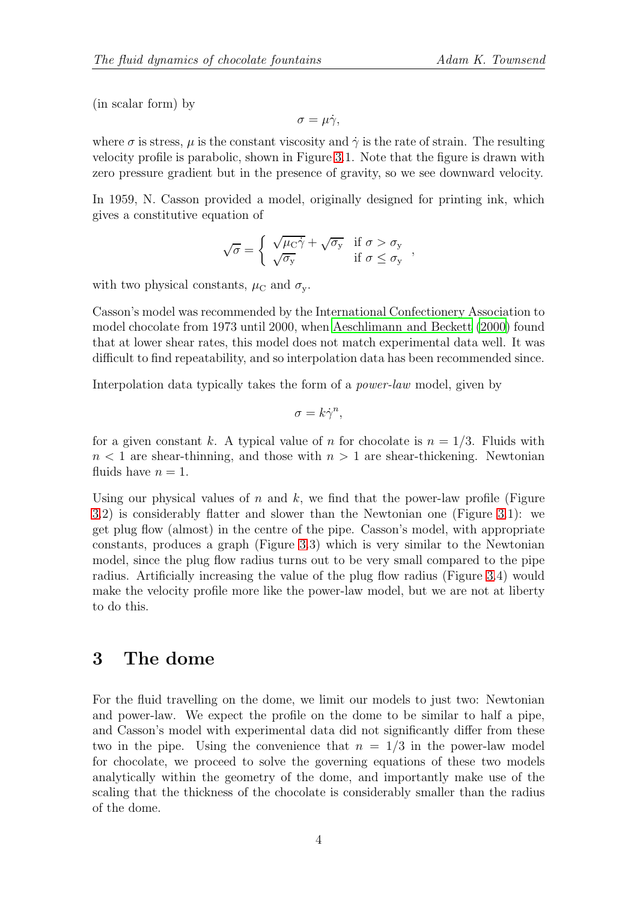(in scalar form) by

$$
\sigma = \mu \dot{\gamma},
$$

where  $\sigma$  is stress,  $\mu$  is the constant viscosity and  $\dot{\gamma}$  is the rate of strain. The resulting velocity profile is parabolic, shown in Figure [3.](#page-4-0)1. Note that the figure is drawn with zero pressure gradient but in the presence of gravity, so we see downward velocity.

In 1959, N. Casson provided a model, originally designed for printing ink, which gives a constitutive equation of

$$
\sqrt{\sigma} = \begin{cases} \sqrt{\mu_{\rm C}\dot{\gamma}} + \sqrt{\sigma_{\rm y}} & \text{if } \sigma > \sigma_{\rm y} \\ \sqrt{\sigma_{\rm y}} & \text{if } \sigma \le \sigma_{\rm y} \end{cases}
$$

with two physical constants,  $\mu_{\rm C}$  and  $\sigma_{\rm v}$ .

Casson's model was recommended by the International Confectionery Association to model chocolate from 1973 until 2000, when [Aeschlimann and Beckett \(2000](#page-7-0)) found that at lower shear rates, this model does not match experimental data well. It was difficult to find repeatability, and so interpolation data has been recommended since.

Interpolation data typically takes the form of a *power-law* model, given by

$$
\sigma = k\dot{\gamma}^n,
$$

for a given constant k. A typical value of n for chocolate is  $n = 1/3$ . Fluids with  $n < 1$  are shear-thinning, and those with  $n > 1$  are shear-thickening. Newtonian fluids have  $n = 1$ .

Using our physical values of  $n$  and  $k$ , we find that the power-law profile (Figure [3.](#page-4-0)2) is considerably flatter and slower than the Newtonian one (Figure [3.](#page-4-0)1): we get plug flow (almost) in the centre of the pipe. Casson's model, with appropriate constants, produces a graph (Figure [3.](#page-4-0)3) which is very similar to the Newtonian model, since the plug flow radius turns out to be very small compared to the pipe radius. Artificially increasing the value of the plug flow radius (Figure [3.](#page-4-0)4) would make the velocity profile more like the power-law model, but we are not at liberty to do this.

#### 3 The dome

For the fluid travelling on the dome, we limit our models to just two: Newtonian and power-law. We expect the profile on the dome to be similar to half a pipe, and Casson's model with experimental data did not significantly differ from these two in the pipe. Using the convenience that  $n = 1/3$  in the power-law model for chocolate, we proceed to solve the governing equations of these two models analytically within the geometry of the dome, and importantly make use of the scaling that the thickness of the chocolate is considerably smaller than the radius of the dome.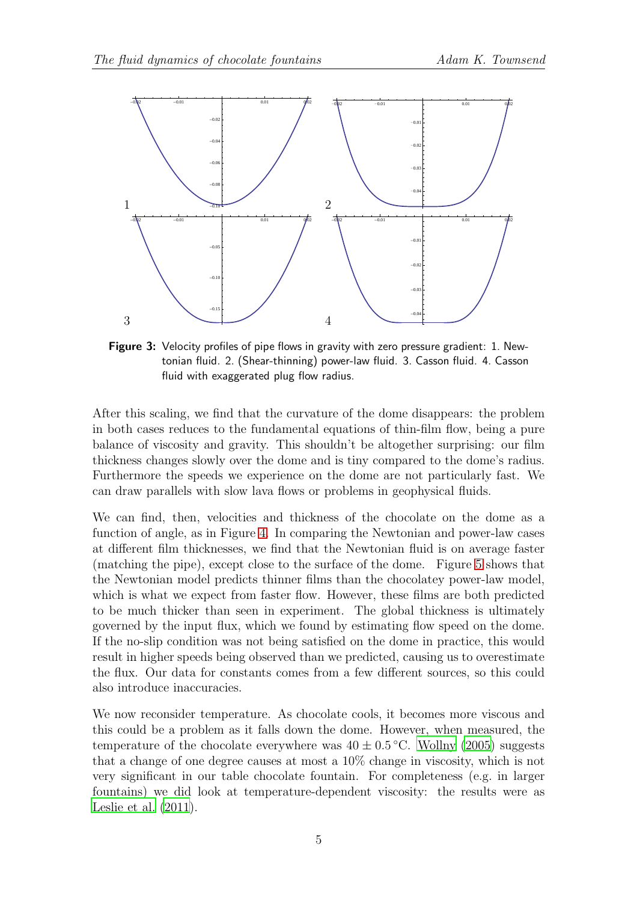<span id="page-4-0"></span>

Figure 3: Velocity profiles of pipe flows in gravity with zero pressure gradient: 1. Newtonian fluid. 2. (Shear-thinning) power-law fluid. 3. Casson fluid. 4. Casson fluid with exaggerated plug flow radius.

After this scaling, we find that the curvature of the dome disappears: the problem in both cases reduces to the fundamental equations of thin-film flow, being a pure balance of viscosity and gravity. This shouldn't be altogether surprising: our film thickness changes slowly over the dome and is tiny compared to the dome's radius. Furthermore the speeds we experience on the dome are not particularly fast. We can draw parallels with slow lava flows or problems in geophysical fluids.

We can find, then, velocities and thickness of the chocolate on the dome as a function of angle, as in Figure [4.](#page-5-0) In comparing the Newtonian and power-law cases at different film thicknesses, we find that the Newtonian fluid is on average faster (matching the pipe), except close to the surface of the dome. Figure [5](#page-5-1) shows that the Newtonian model predicts thinner films than the chocolatey power-law model, which is what we expect from faster flow. However, these films are both predicted to be much thicker than seen in experiment. The global thickness is ultimately governed by the input flux, which we found by estimating flow speed on the dome. If the no-slip condition was not being satisfied on the dome in practice, this would result in higher speeds being observed than we predicted, causing us to overestimate the flux. Our data for constants comes from a few different sources, so this could also introduce inaccuracies.

We now reconsider temperature. As chocolate cools, it becomes more viscous and this could be a problem as it falls down the dome. However, when measured, the temperature of the chocolate everywhere was  $40 \pm 0.5$  °C. [Wollny \(2005](#page-8-0)) suggests that a change of one degree causes at most a 10% change in viscosity, which is not very significant in our table chocolate fountain. For completeness (e.g. in larger fountains) we did look at temperature-dependent viscosity: the results were as [Leslie et al. \(2011\)](#page-7-1).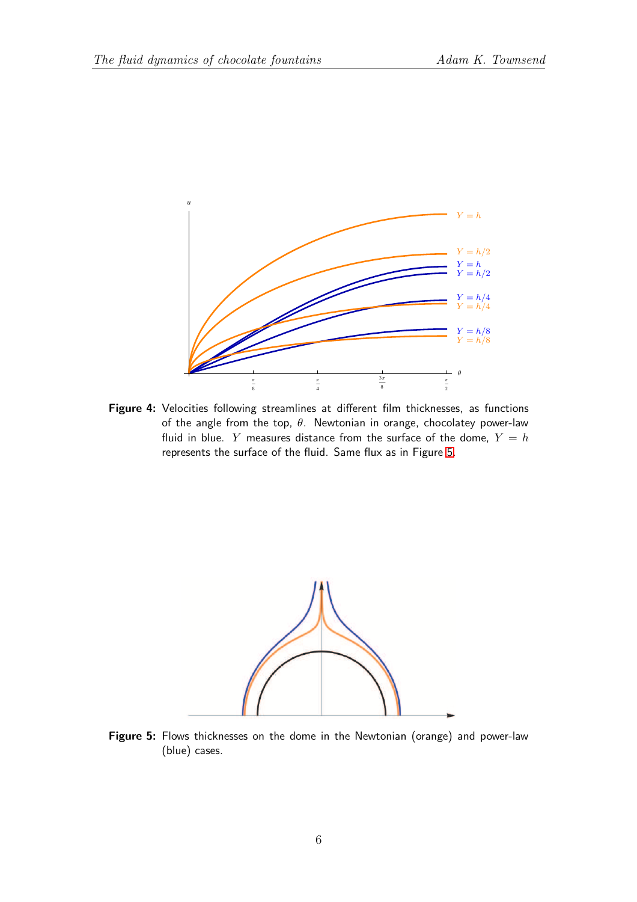<span id="page-5-0"></span>

Figure 4: Velocities following streamlines at different film thicknesses, as functions of the angle from the top,  $\theta$ . Newtonian in orange, chocolatey power-law fluid in blue. Y measures distance from the surface of the dome,  $Y = h$ represents the surface of the fluid. Same flux as in Figure [5.](#page-5-1)

<span id="page-5-1"></span>

Figure 5: Flows thicknesses on the dome in the Newtonian (orange) and power-law (blue) cases.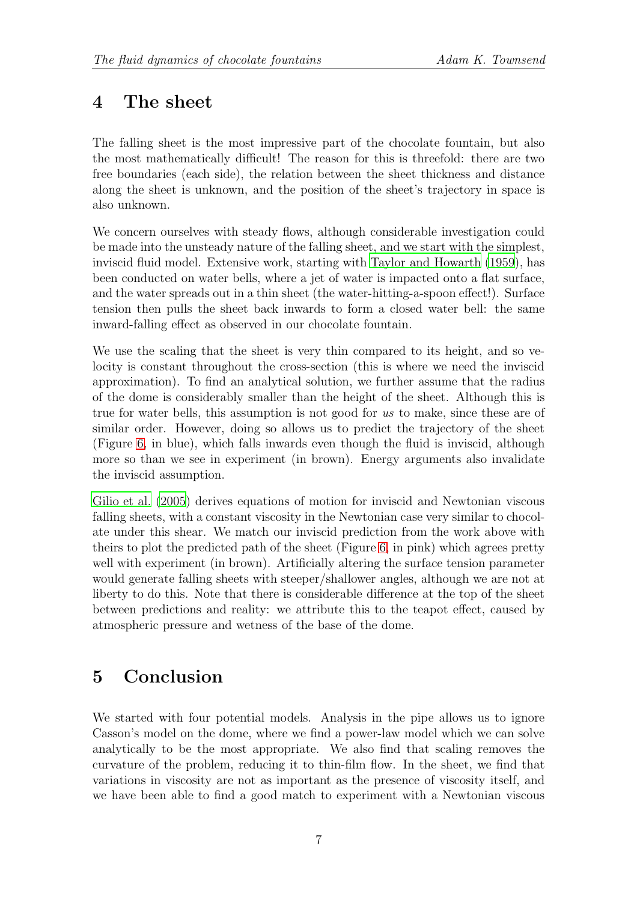## 4 The sheet

The falling sheet is the most impressive part of the chocolate fountain, but also the most mathematically difficult! The reason for this is threefold: there are two free boundaries (each side), the relation between the sheet thickness and distance along the sheet is unknown, and the position of the sheet's trajectory in space is also unknown.

We concern ourselves with steady flows, although considerable investigation could be made into the unsteady nature of the falling sheet, and we start with the simplest, inviscid fluid model. Extensive work, starting with [Taylor and Howarth](#page-7-2) [\(1959\)](#page-7-2), has been conducted on water bells, where a jet of water is impacted onto a flat surface, and the water spreads out in a thin sheet (the water-hitting-a-spoon effect!). Surface tension then pulls the sheet back inwards to form a closed water bell: the same inward-falling effect as observed in our chocolate fountain.

We use the scaling that the sheet is very thin compared to its height, and so velocity is constant throughout the cross-section (this is where we need the inviscid approximation). To find an analytical solution, we further assume that the radius of the dome is considerably smaller than the height of the sheet. Although this is true for water bells, this assumption is not good for us to make, since these are of similar order. However, doing so allows us to predict the trajectory of the sheet (Figure [6,](#page-7-3) in blue), which falls inwards even though the fluid is inviscid, although more so than we see in experiment (in brown). Energy arguments also invalidate the inviscid assumption.

[Gilio et al. \(2005\)](#page-7-4) derives equations of motion for inviscid and Newtonian viscous falling sheets, with a constant viscosity in the Newtonian case very similar to chocolate under this shear. We match our inviscid prediction from the work above with theirs to plot the predicted path of the sheet (Figure [6,](#page-7-3) in pink) which agrees pretty well with experiment (in brown). Artificially altering the surface tension parameter would generate falling sheets with steeper/shallower angles, although we are not at liberty to do this. Note that there is considerable difference at the top of the sheet between predictions and reality: we attribute this to the teapot effect, caused by atmospheric pressure and wetness of the base of the dome.

# 5 Conclusion

We started with four potential models. Analysis in the pipe allows us to ignore Casson's model on the dome, where we find a power-law model which we can solve analytically to be the most appropriate. We also find that scaling removes the curvature of the problem, reducing it to thin-film flow. In the sheet, we find that variations in viscosity are not as important as the presence of viscosity itself, and we have been able to find a good match to experiment with a Newtonian viscous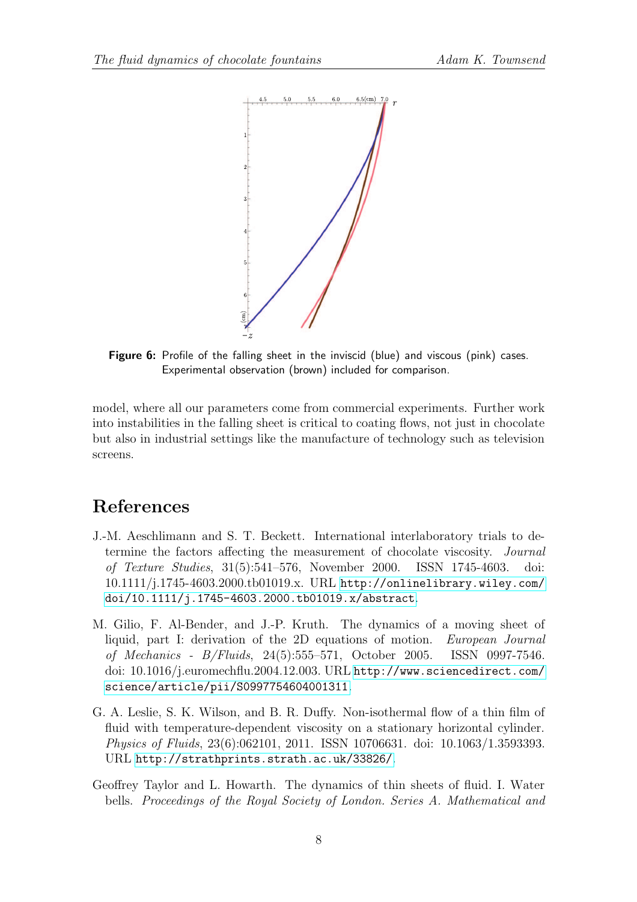<span id="page-7-3"></span>

Figure 6: Profile of the falling sheet in the inviscid (blue) and viscous (pink) cases. Experimental observation (brown) included for comparison.

model, where all our parameters come from commercial experiments. Further work into instabilities in the falling sheet is critical to coating flows, not just in chocolate but also in industrial settings like the manufacture of technology such as television screens.

### References

- <span id="page-7-0"></span>J.-M. Aeschlimann and S. T. Beckett. International interlaboratory trials to determine the factors affecting the measurement of chocolate viscosity. Journal of Texture Studies, 31(5):541–576, November 2000. ISSN 1745-4603. doi: 10.1111/j.1745-4603.2000.tb01019.x. URL [http://onlinelibrary.wiley.com/](http://onlinelibrary.wiley.com/doi/10.1111/j.1745-4603.2000.tb01019.x/abstract) [doi/10.1111/j.1745-4603.2000.tb01019.x/abstract](http://onlinelibrary.wiley.com/doi/10.1111/j.1745-4603.2000.tb01019.x/abstract).
- <span id="page-7-4"></span>M. Gilio, F. Al-Bender, and J.-P. Kruth. The dynamics of a moving sheet of liquid, part I: derivation of the 2D equations of motion. European Journal of Mechanics - B/Fluids, 24(5):555–571, October 2005. ISSN 0997-7546. doi: 10.1016/j.euromechflu.2004.12.003. URL [http://www.sciencedirect.com/](http://www.sciencedirect.com/science/article/pii/S0997754604001311) [science/article/pii/S0997754604001311](http://www.sciencedirect.com/science/article/pii/S0997754604001311).
- <span id="page-7-1"></span>G. A. Leslie, S. K. Wilson, and B. R. Duffy. Non-isothermal flow of a thin film of fluid with temperature-dependent viscosity on a stationary horizontal cylinder. Physics of Fluids, 23(6):062101, 2011. ISSN 10706631. doi: 10.1063/1.3593393. URL <http://strathprints.strath.ac.uk/33826/>.
- <span id="page-7-2"></span>Geoffrey Taylor and L. Howarth. The dynamics of thin sheets of fluid. I. Water bells. Proceedings of the Royal Society of London. Series A. Mathematical and